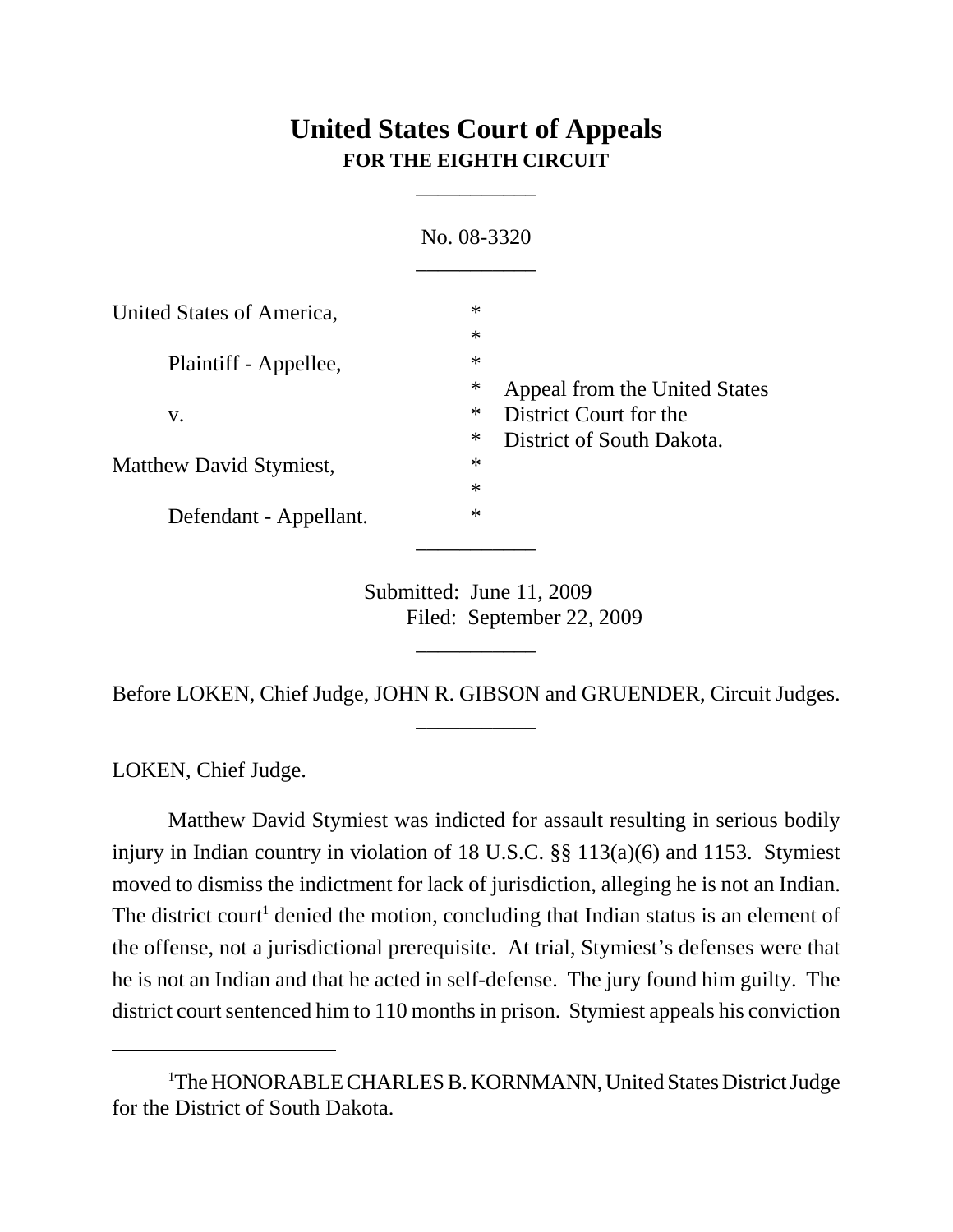# **United States Court of Appeals FOR THE EIGHTH CIRCUIT**

\_\_\_\_\_\_\_\_\_\_\_

|                           | No. 08-3320                |                                                                                      |
|---------------------------|----------------------------|--------------------------------------------------------------------------------------|
| United States of America, | $\ast$<br>$\ast$           |                                                                                      |
| Plaintiff - Appellee,     | $\ast$<br>∗                | Appeal from the United States<br>District Court for the<br>District of South Dakota. |
| V.                        | $\ast$                     |                                                                                      |
| Matthew David Stymiest,   | $\ast$<br>$\ast$<br>$\ast$ |                                                                                      |
| Defendant - Appellant.    | $\ast$                     |                                                                                      |
|                           |                            |                                                                                      |

Submitted: June 11, 2009 Filed: September 22, 2009

Before LOKEN, Chief Judge, JOHN R. GIBSON and GRUENDER, Circuit Judges. \_\_\_\_\_\_\_\_\_\_\_

\_\_\_\_\_\_\_\_\_\_\_

LOKEN, Chief Judge.

Matthew David Stymiest was indicted for assault resulting in serious bodily injury in Indian country in violation of 18 U.S.C. §§ 113(a)(6) and 1153. Stymiest moved to dismiss the indictment for lack of jurisdiction, alleging he is not an Indian. The district court<sup>1</sup> denied the motion, concluding that Indian status is an element of the offense, not a jurisdictional prerequisite. At trial, Stymiest's defenses were that he is not an Indian and that he acted in self-defense. The jury found him guilty. The district court sentenced him to 110 months in prison. Stymiest appeals his conviction

<sup>&</sup>lt;sup>1</sup>The HONORABLE CHARLES B. KORNMANN, United States District Judge for the District of South Dakota.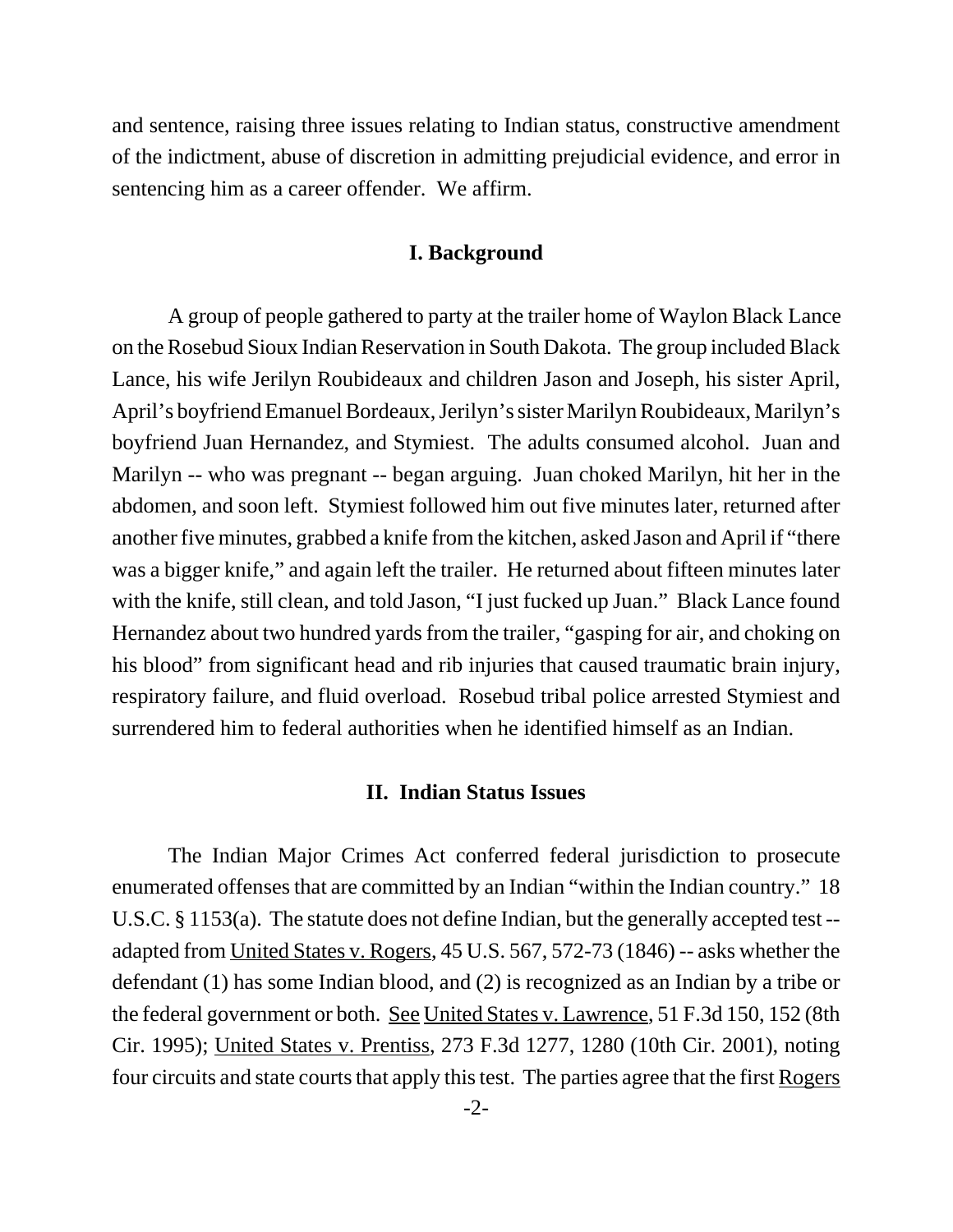and sentence, raising three issues relating to Indian status, constructive amendment of the indictment, abuse of discretion in admitting prejudicial evidence, and error in sentencing him as a career offender. We affirm.

#### **I. Background**

 A group of people gathered to party at the trailer home of Waylon Black Lance on the Rosebud Sioux Indian Reservation in South Dakota. The group included Black Lance, his wife Jerilyn Roubideaux and children Jason and Joseph, his sister April, April's boyfriend Emanuel Bordeaux, Jerilyn's sister Marilyn Roubideaux, Marilyn's boyfriend Juan Hernandez, and Stymiest. The adults consumed alcohol. Juan and Marilyn -- who was pregnant -- began arguing. Juan choked Marilyn, hit her in the abdomen, and soon left. Stymiest followed him out five minutes later, returned after another five minutes, grabbed a knife from the kitchen, asked Jason and April if "there was a bigger knife," and again left the trailer. He returned about fifteen minutes later with the knife, still clean, and told Jason, "I just fucked up Juan." Black Lance found Hernandez about two hundred yards from the trailer, "gasping for air, and choking on his blood" from significant head and rib injuries that caused traumatic brain injury, respiratory failure, and fluid overload. Rosebud tribal police arrested Stymiest and surrendered him to federal authorities when he identified himself as an Indian.

#### **II. Indian Status Issues**

The Indian Major Crimes Act conferred federal jurisdiction to prosecute enumerated offenses that are committed by an Indian "within the Indian country." 18 U.S.C. § 1153(a). The statute does not define Indian, but the generally accepted test - adapted from United States v. Rogers, 45 U.S. 567, 572-73 (1846) -- asks whether the defendant (1) has some Indian blood, and (2) is recognized as an Indian by a tribe or the federal government or both. See United States v. Lawrence, 51 F.3d 150, 152 (8th Cir. 1995); United States v. Prentiss, 273 F.3d 1277, 1280 (10th Cir. 2001), noting four circuits and state courts that apply this test. The parties agree that the first Rogers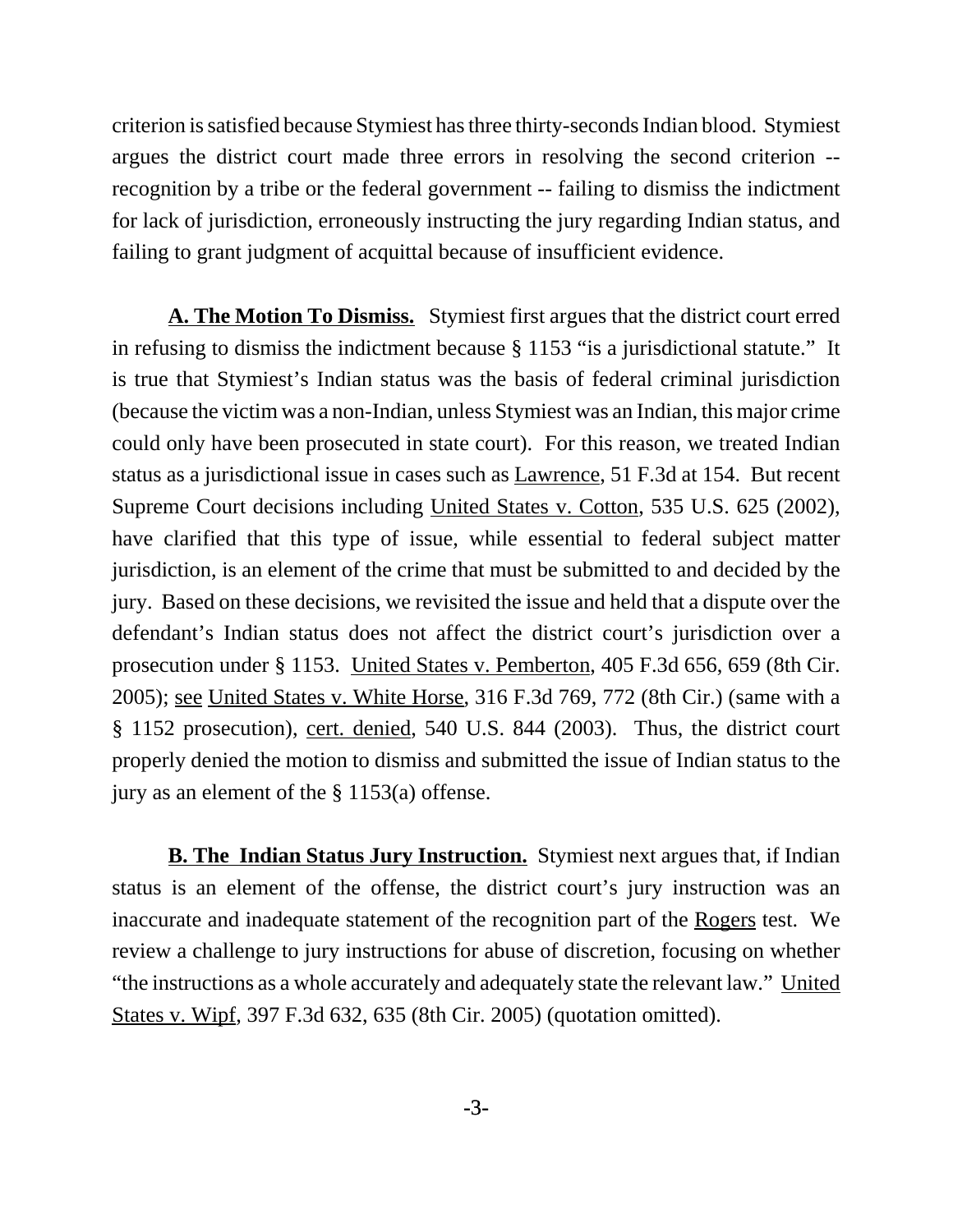criterion is satisfied because Stymiest has three thirty-seconds Indian blood. Stymiest argues the district court made three errors in resolving the second criterion - recognition by a tribe or the federal government -- failing to dismiss the indictment for lack of jurisdiction, erroneously instructing the jury regarding Indian status, and failing to grant judgment of acquittal because of insufficient evidence.

**A. The Motion To Dismiss.** Stymiest first argues that the district court erred in refusing to dismiss the indictment because § 1153 "is a jurisdictional statute." It is true that Stymiest's Indian status was the basis of federal criminal jurisdiction (because the victim was a non-Indian, unless Stymiest was an Indian, this major crime could only have been prosecuted in state court). For this reason, we treated Indian status as a jurisdictional issue in cases such as Lawrence, 51 F.3d at 154. But recent Supreme Court decisions including United States v. Cotton, 535 U.S. 625 (2002), have clarified that this type of issue, while essential to federal subject matter jurisdiction, is an element of the crime that must be submitted to and decided by the jury. Based on these decisions, we revisited the issue and held that a dispute over the defendant's Indian status does not affect the district court's jurisdiction over a prosecution under § 1153. United States v. Pemberton, 405 F.3d 656, 659 (8th Cir. 2005); see United States v. White Horse, 316 F.3d 769, 772 (8th Cir.) (same with a § 1152 prosecution), cert. denied, 540 U.S. 844 (2003). Thus, the district court properly denied the motion to dismiss and submitted the issue of Indian status to the jury as an element of the § 1153(a) offense.

**B. The Indian Status Jury Instruction.** Stymiest next argues that, if Indian status is an element of the offense, the district court's jury instruction was an inaccurate and inadequate statement of the recognition part of the Rogers test. We review a challenge to jury instructions for abuse of discretion, focusing on whether "the instructions as a whole accurately and adequately state the relevant law." United States v. Wipf, 397 F.3d 632, 635 (8th Cir. 2005) (quotation omitted).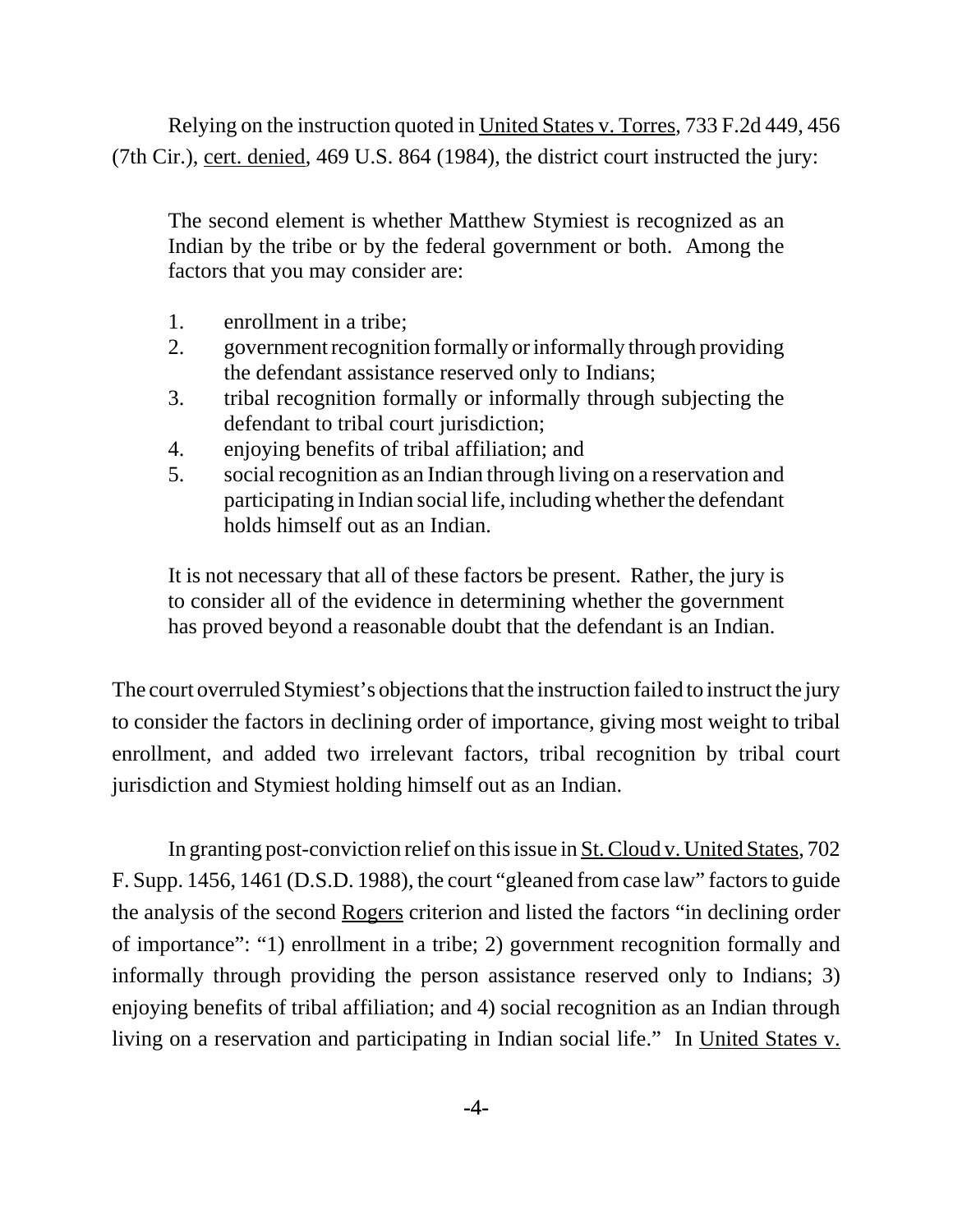Relying on the instruction quoted in United States v. Torres, 733 F.2d 449, 456 (7th Cir.), cert. denied, 469 U.S. 864 (1984), the district court instructed the jury:

The second element is whether Matthew Stymiest is recognized as an Indian by the tribe or by the federal government or both. Among the factors that you may consider are:

- 1. enrollment in a tribe;
- 2. government recognition formally or informally through providing the defendant assistance reserved only to Indians;
- 3. tribal recognition formally or informally through subjecting the defendant to tribal court jurisdiction;
- 4. enjoying benefits of tribal affiliation; and
- 5. social recognition as an Indian through living on a reservation and participating in Indian social life, including whether the defendant holds himself out as an Indian.

It is not necessary that all of these factors be present. Rather, the jury is to consider all of the evidence in determining whether the government has proved beyond a reasonable doubt that the defendant is an Indian.

The court overruled Stymiest's objections that the instruction failed to instruct the jury to consider the factors in declining order of importance, giving most weight to tribal enrollment, and added two irrelevant factors, tribal recognition by tribal court jurisdiction and Stymiest holding himself out as an Indian.

In granting post-conviction relief on this issue in St. Cloud v. United States, 702 F. Supp. 1456, 1461 (D.S.D. 1988), the court "gleaned from case law" factors to guide the analysis of the second Rogers criterion and listed the factors "in declining order of importance": "1) enrollment in a tribe; 2) government recognition formally and informally through providing the person assistance reserved only to Indians; 3) enjoying benefits of tribal affiliation; and 4) social recognition as an Indian through living on a reservation and participating in Indian social life." In United States v.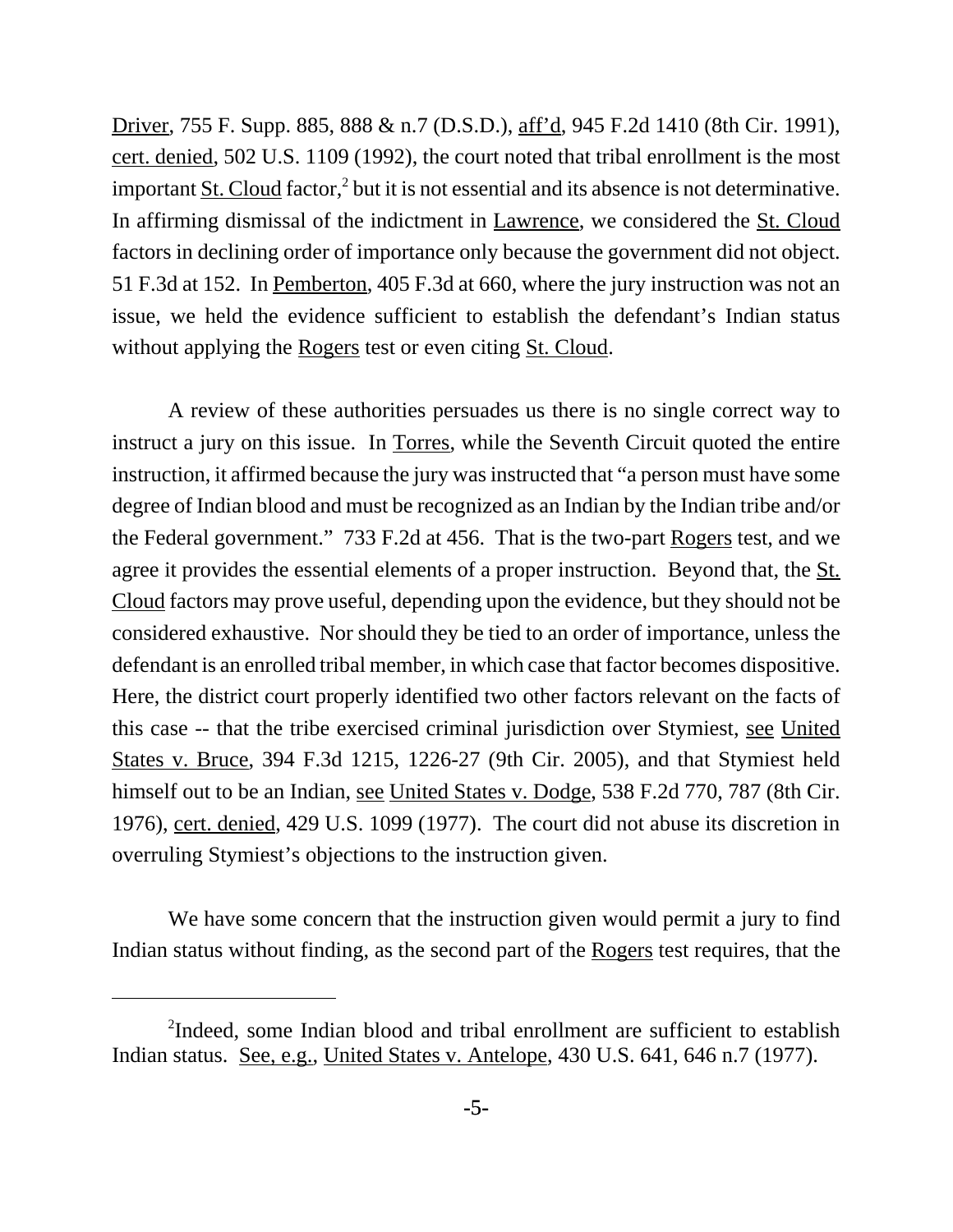Driver, 755 F. Supp. 885, 888 & n.7 (D.S.D.), aff'd, 945 F.2d 1410 (8th Cir. 1991), cert. denied, 502 U.S. 1109 (1992), the court noted that tribal enrollment is the most important  $\text{St. Cloud factor,}^2$  but it is not essential and its absence is not determinative. In affirming dismissal of the indictment in Lawrence, we considered the St. Cloud factors in declining order of importance only because the government did not object. 51 F.3d at 152. In Pemberton, 405 F.3d at 660, where the jury instruction was not an issue, we held the evidence sufficient to establish the defendant's Indian status without applying the Rogers test or even citing St. Cloud.

A review of these authorities persuades us there is no single correct way to instruct a jury on this issue. In Torres, while the Seventh Circuit quoted the entire instruction, it affirmed because the jury was instructed that "a person must have some degree of Indian blood and must be recognized as an Indian by the Indian tribe and/or the Federal government." 733 F.2d at 456. That is the two-part Rogers test, and we agree it provides the essential elements of a proper instruction. Beyond that, the St. Cloud factors may prove useful, depending upon the evidence, but they should not be considered exhaustive. Nor should they be tied to an order of importance, unless the defendant is an enrolled tribal member, in which case that factor becomes dispositive. Here, the district court properly identified two other factors relevant on the facts of this case -- that the tribe exercised criminal jurisdiction over Stymiest, see United States v. Bruce, 394 F.3d 1215, 1226-27 (9th Cir. 2005), and that Stymiest held himself out to be an Indian, see United States v. Dodge, 538 F.2d 770, 787 (8th Cir. 1976), cert. denied, 429 U.S. 1099 (1977). The court did not abuse its discretion in overruling Stymiest's objections to the instruction given.

We have some concern that the instruction given would permit a jury to find Indian status without finding, as the second part of the Rogers test requires, that the

<sup>&</sup>lt;sup>2</sup>Indeed, some Indian blood and tribal enrollment are sufficient to establish Indian status. See, e.g., United States v. Antelope, 430 U.S. 641, 646 n.7 (1977).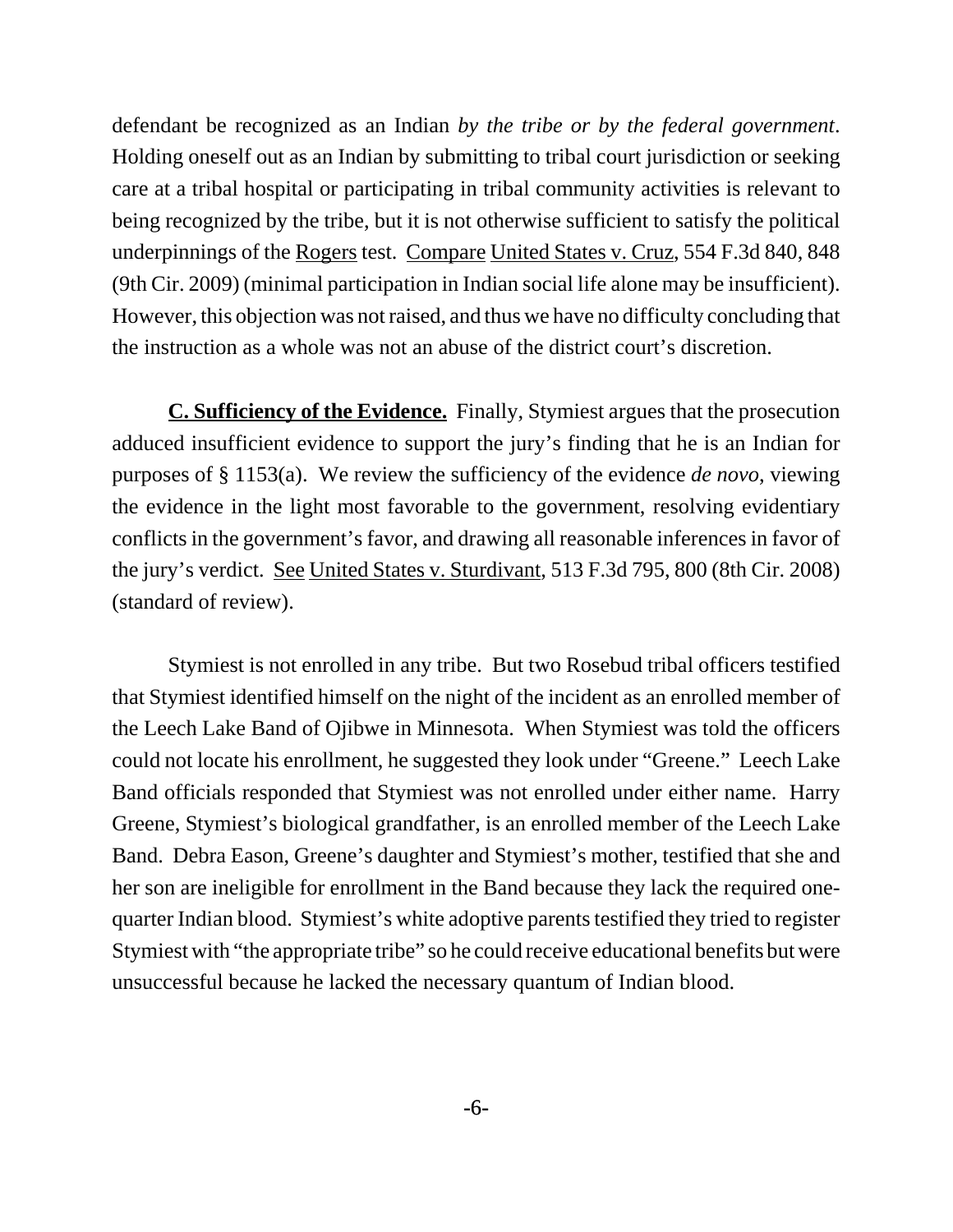defendant be recognized as an Indian *by the tribe or by the federal government*. Holding oneself out as an Indian by submitting to tribal court jurisdiction or seeking care at a tribal hospital or participating in tribal community activities is relevant to being recognized by the tribe, but it is not otherwise sufficient to satisfy the political underpinnings of the Rogers test. Compare United States v. Cruz, 554 F.3d 840, 848 (9th Cir. 2009) (minimal participation in Indian social life alone may be insufficient). However, this objection was not raised, and thus we have no difficulty concluding that the instruction as a whole was not an abuse of the district court's discretion.

**C. Sufficiency of the Evidence.** Finally, Stymiest argues that the prosecution adduced insufficient evidence to support the jury's finding that he is an Indian for purposes of § 1153(a). We review the sufficiency of the evidence *de novo*, viewing the evidence in the light most favorable to the government, resolving evidentiary conflicts in the government's favor, and drawing all reasonable inferences in favor of the jury's verdict. See United States v. Sturdivant, 513 F.3d 795, 800 (8th Cir. 2008) (standard of review).

Stymiest is not enrolled in any tribe. But two Rosebud tribal officers testified that Stymiest identified himself on the night of the incident as an enrolled member of the Leech Lake Band of Ojibwe in Minnesota. When Stymiest was told the officers could not locate his enrollment, he suggested they look under "Greene." Leech Lake Band officials responded that Stymiest was not enrolled under either name. Harry Greene, Stymiest's biological grandfather, is an enrolled member of the Leech Lake Band. Debra Eason, Greene's daughter and Stymiest's mother, testified that she and her son are ineligible for enrollment in the Band because they lack the required onequarter Indian blood. Stymiest's white adoptive parents testified they tried to register Stymiest with "the appropriate tribe" so he could receive educational benefits but were unsuccessful because he lacked the necessary quantum of Indian blood.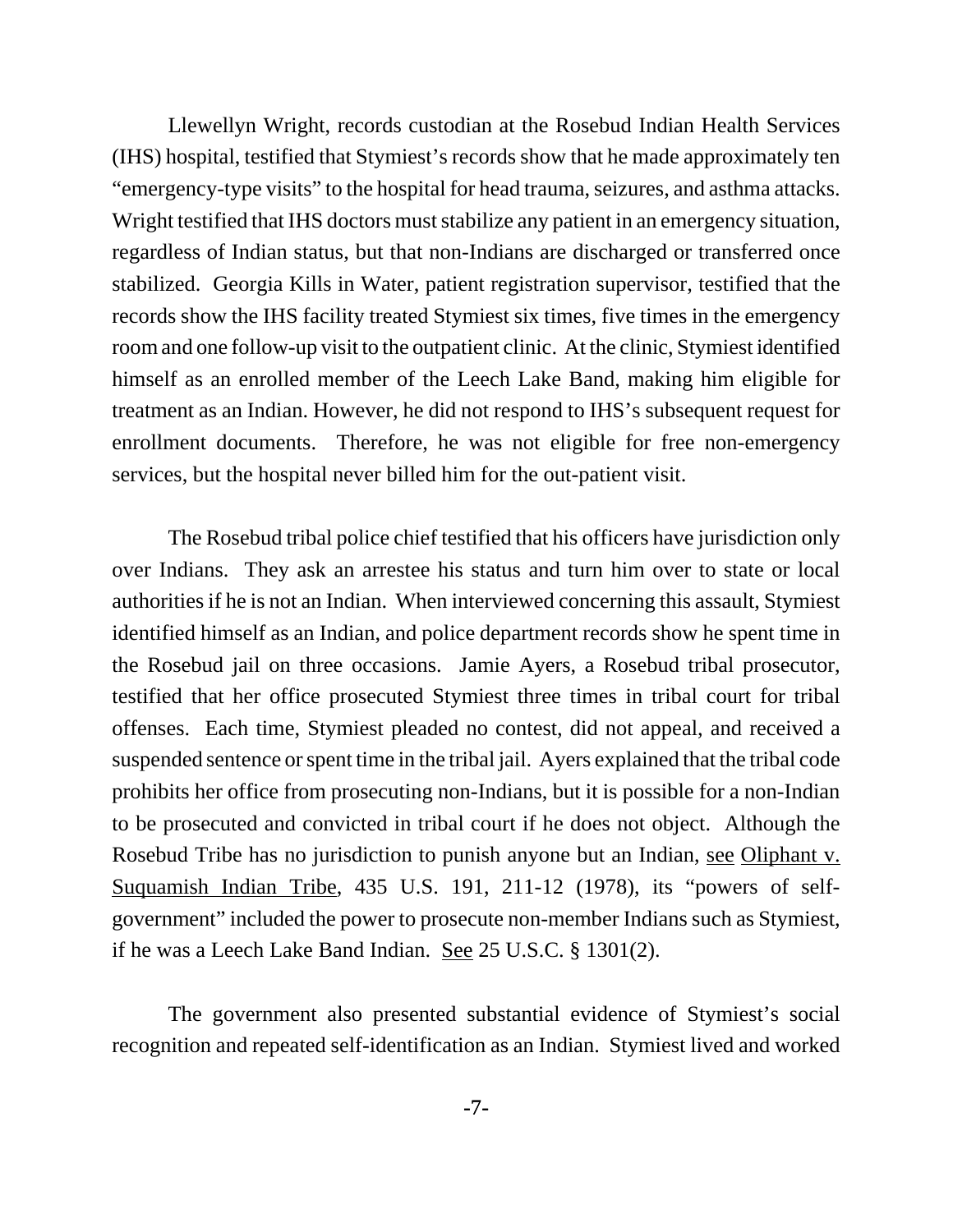Llewellyn Wright, records custodian at the Rosebud Indian Health Services (IHS) hospital, testified that Stymiest's records show that he made approximately ten "emergency-type visits" to the hospital for head trauma, seizures, and asthma attacks. Wright testified that IHS doctors must stabilize any patient in an emergency situation, regardless of Indian status, but that non-Indians are discharged or transferred once stabilized. Georgia Kills in Water, patient registration supervisor, testified that the records show the IHS facility treated Stymiest six times, five times in the emergency room and one follow-up visit to the outpatient clinic. At the clinic, Stymiest identified himself as an enrolled member of the Leech Lake Band, making him eligible for treatment as an Indian. However, he did not respond to IHS's subsequent request for enrollment documents. Therefore, he was not eligible for free non-emergency services, but the hospital never billed him for the out-patient visit.

The Rosebud tribal police chief testified that his officers have jurisdiction only over Indians. They ask an arrestee his status and turn him over to state or local authorities if he is not an Indian. When interviewed concerning this assault, Stymiest identified himself as an Indian, and police department records show he spent time in the Rosebud jail on three occasions. Jamie Ayers, a Rosebud tribal prosecutor, testified that her office prosecuted Stymiest three times in tribal court for tribal offenses. Each time, Stymiest pleaded no contest, did not appeal, and received a suspended sentence or spent time in the tribal jail. Ayers explained that the tribal code prohibits her office from prosecuting non-Indians, but it is possible for a non-Indian to be prosecuted and convicted in tribal court if he does not object. Although the Rosebud Tribe has no jurisdiction to punish anyone but an Indian, see Oliphant v. Suquamish Indian Tribe, 435 U.S. 191, 211-12 (1978), its "powers of selfgovernment" included the power to prosecute non-member Indians such as Stymiest, if he was a Leech Lake Band Indian. See 25 U.S.C. § 1301(2).

The government also presented substantial evidence of Stymiest's social recognition and repeated self-identification as an Indian. Stymiest lived and worked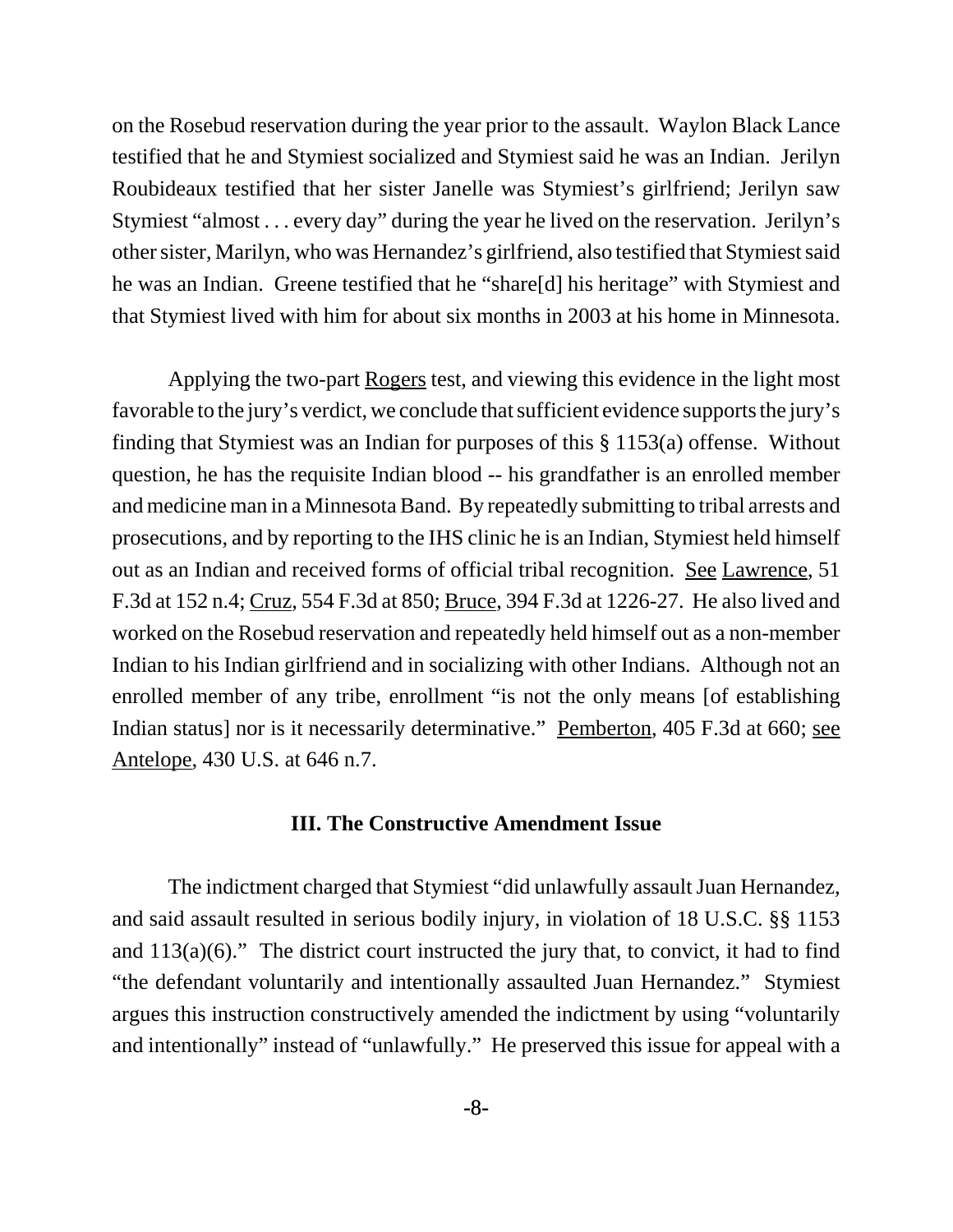on the Rosebud reservation during the year prior to the assault. Waylon Black Lance testified that he and Stymiest socialized and Stymiest said he was an Indian. Jerilyn Roubideaux testified that her sister Janelle was Stymiest's girlfriend; Jerilyn saw Stymiest "almost . . . every day" during the year he lived on the reservation. Jerilyn's other sister, Marilyn, who was Hernandez's girlfriend, also testified that Stymiest said he was an Indian. Greene testified that he "share[d] his heritage" with Stymiest and that Stymiest lived with him for about six months in 2003 at his home in Minnesota.

Applying the two-part Rogers test, and viewing this evidence in the light most favorable to the jury's verdict, we conclude that sufficient evidence supports the jury's finding that Stymiest was an Indian for purposes of this § 1153(a) offense. Without question, he has the requisite Indian blood -- his grandfather is an enrolled member and medicine man in a Minnesota Band. By repeatedly submitting to tribal arrests and prosecutions, and by reporting to the IHS clinic he is an Indian, Stymiest held himself out as an Indian and received forms of official tribal recognition. See Lawrence, 51 F.3d at 152 n.4; Cruz, 554 F.3d at 850; Bruce, 394 F.3d at 1226-27. He also lived and worked on the Rosebud reservation and repeatedly held himself out as a non-member Indian to his Indian girlfriend and in socializing with other Indians. Although not an enrolled member of any tribe, enrollment "is not the only means [of establishing Indian status] nor is it necessarily determinative." Pemberton, 405 F.3d at 660; see Antelope, 430 U.S. at 646 n.7.

### **III. The Constructive Amendment Issue**

The indictment charged that Stymiest "did unlawfully assault Juan Hernandez, and said assault resulted in serious bodily injury, in violation of 18 U.S.C. §§ 1153 and  $113(a)(6)$ ." The district court instructed the jury that, to convict, it had to find "the defendant voluntarily and intentionally assaulted Juan Hernandez." Stymiest argues this instruction constructively amended the indictment by using "voluntarily and intentionally" instead of "unlawfully." He preserved this issue for appeal with a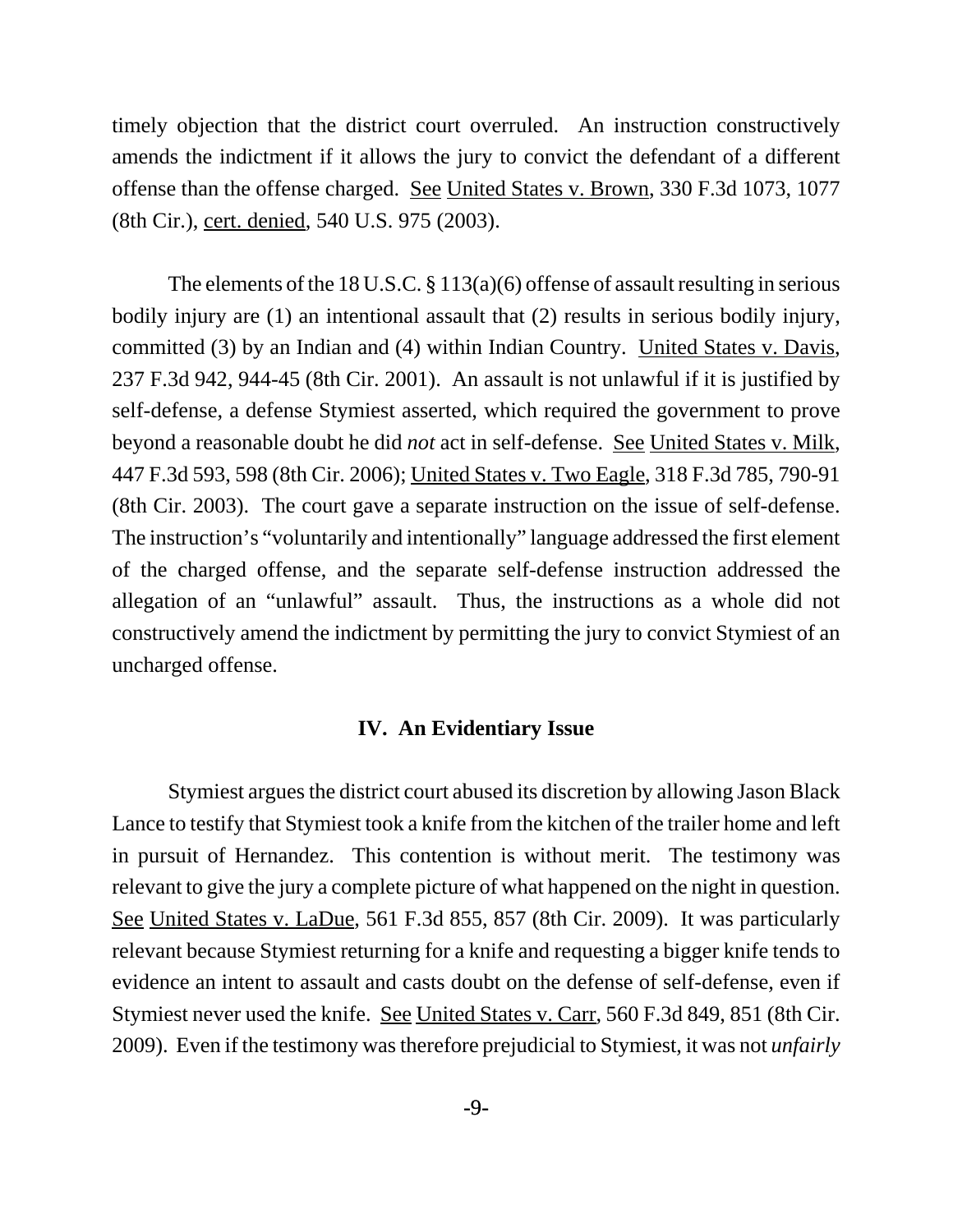timely objection that the district court overruled. An instruction constructively amends the indictment if it allows the jury to convict the defendant of a different offense than the offense charged. See United States v. Brown, 330 F.3d 1073, 1077 (8th Cir.), cert. denied, 540 U.S. 975 (2003).

The elements of the 18 U.S.C. § 113(a)(6) offense of assault resulting in serious bodily injury are (1) an intentional assault that (2) results in serious bodily injury, committed (3) by an Indian and (4) within Indian Country. United States v. Davis, 237 F.3d 942, 944-45 (8th Cir. 2001). An assault is not unlawful if it is justified by self-defense, a defense Stymiest asserted, which required the government to prove beyond a reasonable doubt he did *not* act in self-defense. See United States v. Milk, 447 F.3d 593, 598 (8th Cir. 2006); United States v. Two Eagle, 318 F.3d 785, 790-91 (8th Cir. 2003). The court gave a separate instruction on the issue of self-defense. The instruction's "voluntarily and intentionally" language addressed the first element of the charged offense, and the separate self-defense instruction addressed the allegation of an "unlawful" assault. Thus, the instructions as a whole did not constructively amend the indictment by permitting the jury to convict Stymiest of an uncharged offense.

# **IV. An Evidentiary Issue**

Stymiest argues the district court abused its discretion by allowing Jason Black Lance to testify that Stymiest took a knife from the kitchen of the trailer home and left in pursuit of Hernandez. This contention is without merit. The testimony was relevant to give the jury a complete picture of what happened on the night in question. See United States v. LaDue, 561 F.3d 855, 857 (8th Cir. 2009). It was particularly relevant because Stymiest returning for a knife and requesting a bigger knife tends to evidence an intent to assault and casts doubt on the defense of self-defense, even if Stymiest never used the knife. See United States v. Carr, 560 F.3d 849, 851 (8th Cir. 2009). Even if the testimony was therefore prejudicial to Stymiest, it was not *unfairly*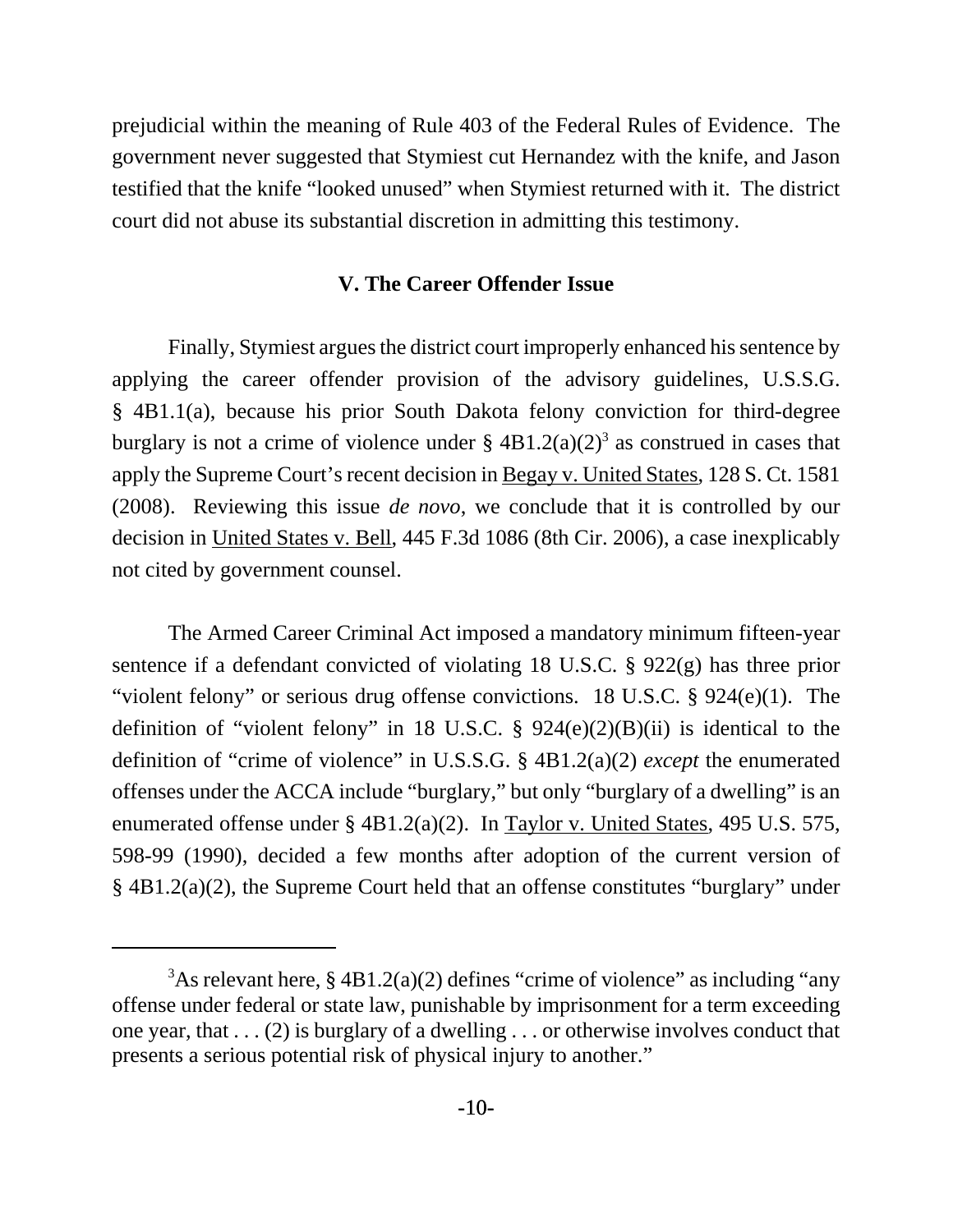prejudicial within the meaning of Rule 403 of the Federal Rules of Evidence. The government never suggested that Stymiest cut Hernandez with the knife, and Jason testified that the knife "looked unused" when Stymiest returned with it. The district court did not abuse its substantial discretion in admitting this testimony.

## **V. The Career Offender Issue**

Finally, Stymiest argues the district court improperly enhanced his sentence by applying the career offender provision of the advisory guidelines, U.S.S.G. § 4B1.1(a), because his prior South Dakota felony conviction for third-degree burglary is not a crime of violence under  $\S 4B1.2(a)(2)^3$  as construed in cases that apply the Supreme Court's recent decision in Begay v. United States, 128 S. Ct. 1581 (2008). Reviewing this issue *de novo*, we conclude that it is controlled by our decision in United States v. Bell, 445 F.3d 1086 (8th Cir. 2006), a case inexplicably not cited by government counsel.

The Armed Career Criminal Act imposed a mandatory minimum fifteen-year sentence if a defendant convicted of violating 18 U.S.C. § 922(g) has three prior "violent felony" or serious drug offense convictions. 18 U.S.C. § 924(e)(1). The definition of "violent felony" in 18 U.S.C.  $\S$  924(e)(2)(B)(ii) is identical to the definition of "crime of violence" in U.S.S.G. § 4B1.2(a)(2) *except* the enumerated offenses under the ACCA include "burglary," but only "burglary of a dwelling" is an enumerated offense under § 4B1.2(a)(2). In Taylor v. United States, 495 U.S. 575, 598-99 (1990), decided a few months after adoption of the current version of § 4B1.2(a)(2), the Supreme Court held that an offense constitutes "burglary" under

 $3$ As relevant here, § 4B1.2(a)(2) defines "crime of violence" as including "any offense under federal or state law, punishable by imprisonment for a term exceeding one year, that . . . (2) is burglary of a dwelling . . . or otherwise involves conduct that presents a serious potential risk of physical injury to another."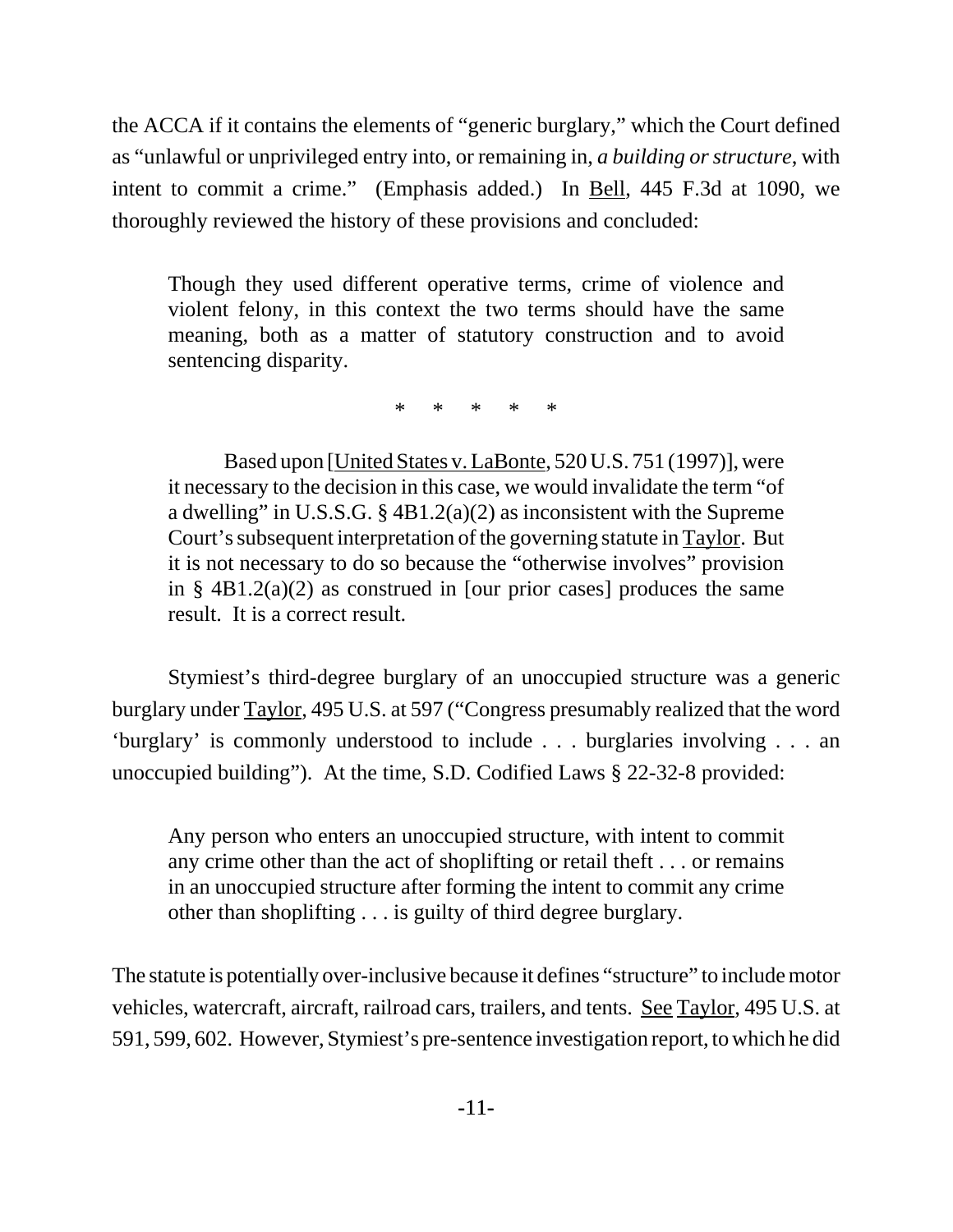the ACCA if it contains the elements of "generic burglary," which the Court defined as "unlawful or unprivileged entry into, or remaining in, *a building or structure*, with intent to commit a crime." (Emphasis added.) In Bell, 445 F.3d at 1090, we thoroughly reviewed the history of these provisions and concluded:

Though they used different operative terms, crime of violence and violent felony, in this context the two terms should have the same meaning, both as a matter of statutory construction and to avoid sentencing disparity.

\* \* \* \* \*

Based upon [United States v. LaBonte, 520 U.S. 751 (1997)], were it necessary to the decision in this case, we would invalidate the term "of a dwelling" in U.S.S.G.  $\S$  4B1.2(a)(2) as inconsistent with the Supreme Court's subsequent interpretation of the governing statute in Taylor. But it is not necessary to do so because the "otherwise involves" provision in § 4B1.2(a)(2) as construed in [our prior cases] produces the same result. It is a correct result.

Stymiest's third-degree burglary of an unoccupied structure was a generic burglary under Taylor, 495 U.S. at 597 ("Congress presumably realized that the word 'burglary' is commonly understood to include . . . burglaries involving . . . an unoccupied building"). At the time, S.D. Codified Laws § 22-32-8 provided:

Any person who enters an unoccupied structure, with intent to commit any crime other than the act of shoplifting or retail theft . . . or remains in an unoccupied structure after forming the intent to commit any crime other than shoplifting . . . is guilty of third degree burglary.

The statute is potentially over-inclusive because it defines "structure" to include motor vehicles, watercraft, aircraft, railroad cars, trailers, and tents. See Taylor, 495 U.S. at 591, 599, 602. However, Stymiest's pre-sentence investigation report, to which he did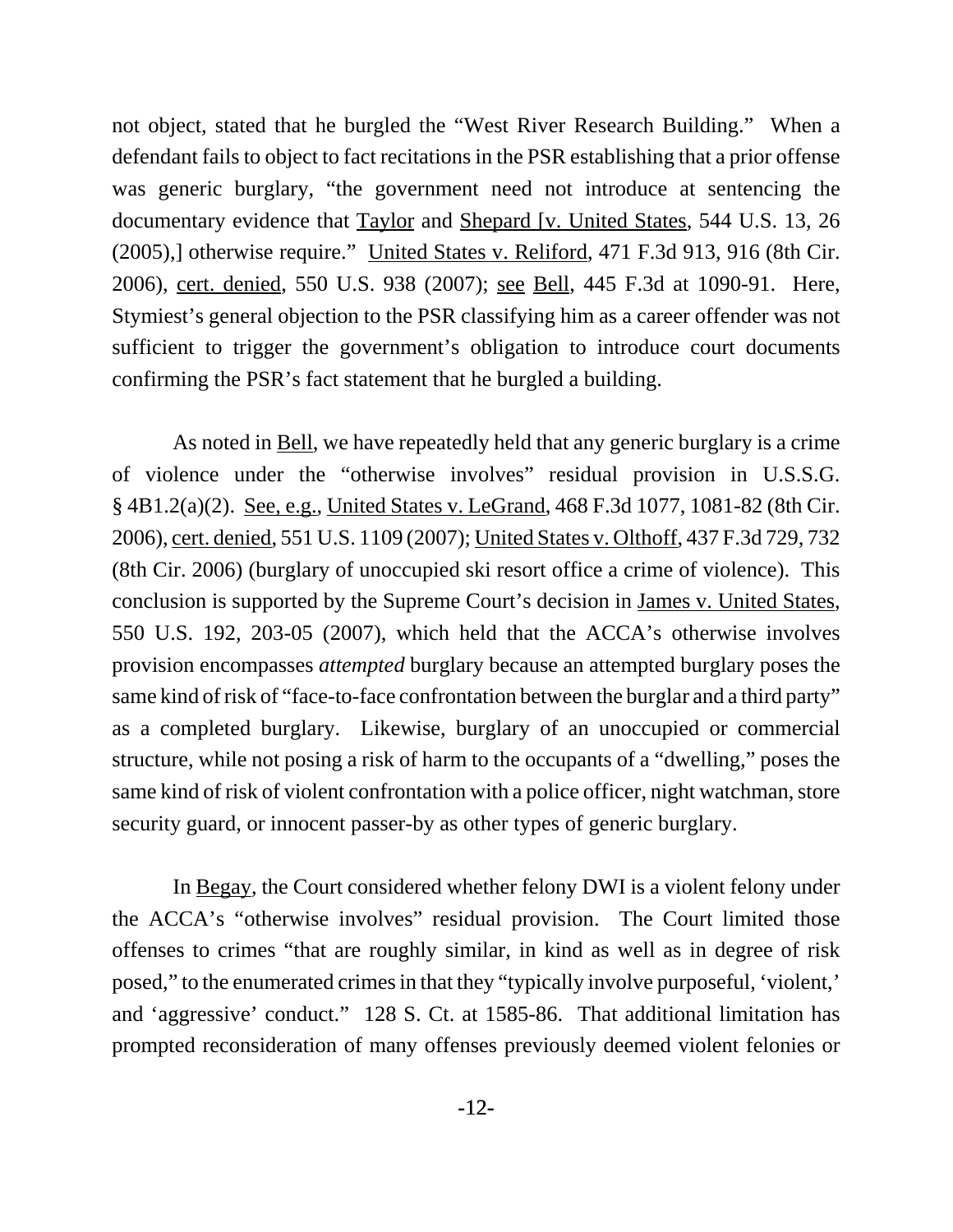not object, stated that he burgled the "West River Research Building." When a defendant fails to object to fact recitations in the PSR establishing that a prior offense was generic burglary, "the government need not introduce at sentencing the documentary evidence that **Taylor** and **Shepard [v. United States, 544 U.S. 13, 26** (2005),] otherwise require." United States v. Reliford, 471 F.3d 913, 916 (8th Cir. 2006), cert. denied, 550 U.S. 938 (2007); see Bell, 445 F.3d at 1090-91. Here, Stymiest's general objection to the PSR classifying him as a career offender was not sufficient to trigger the government's obligation to introduce court documents confirming the PSR's fact statement that he burgled a building.

As noted in <u>Bell</u>, we have repeatedly held that any generic burglary is a crime of violence under the "otherwise involves" residual provision in U.S.S.G. § 4B1.2(a)(2). See, e.g., United States v. LeGrand, 468 F.3d 1077, 1081-82 (8th Cir. 2006), cert. denied, 551 U.S. 1109 (2007); United States v. Olthoff, 437 F.3d 729, 732 (8th Cir. 2006) (burglary of unoccupied ski resort office a crime of violence). This conclusion is supported by the Supreme Court's decision in James v. United States, 550 U.S. 192, 203-05 (2007), which held that the ACCA's otherwise involves provision encompasses *attempted* burglary because an attempted burglary poses the same kind of risk of "face-to-face confrontation between the burglar and a third party" as a completed burglary. Likewise, burglary of an unoccupied or commercial structure, while not posing a risk of harm to the occupants of a "dwelling," poses the same kind of risk of violent confrontation with a police officer, night watchman, store security guard, or innocent passer-by as other types of generic burglary.

 In Begay, the Court considered whether felony DWI is a violent felony under the ACCA's "otherwise involves" residual provision. The Court limited those offenses to crimes "that are roughly similar, in kind as well as in degree of risk posed," to the enumerated crimes in that they "typically involve purposeful, 'violent,' and 'aggressive' conduct." 128 S. Ct. at 1585-86. That additional limitation has prompted reconsideration of many offenses previously deemed violent felonies or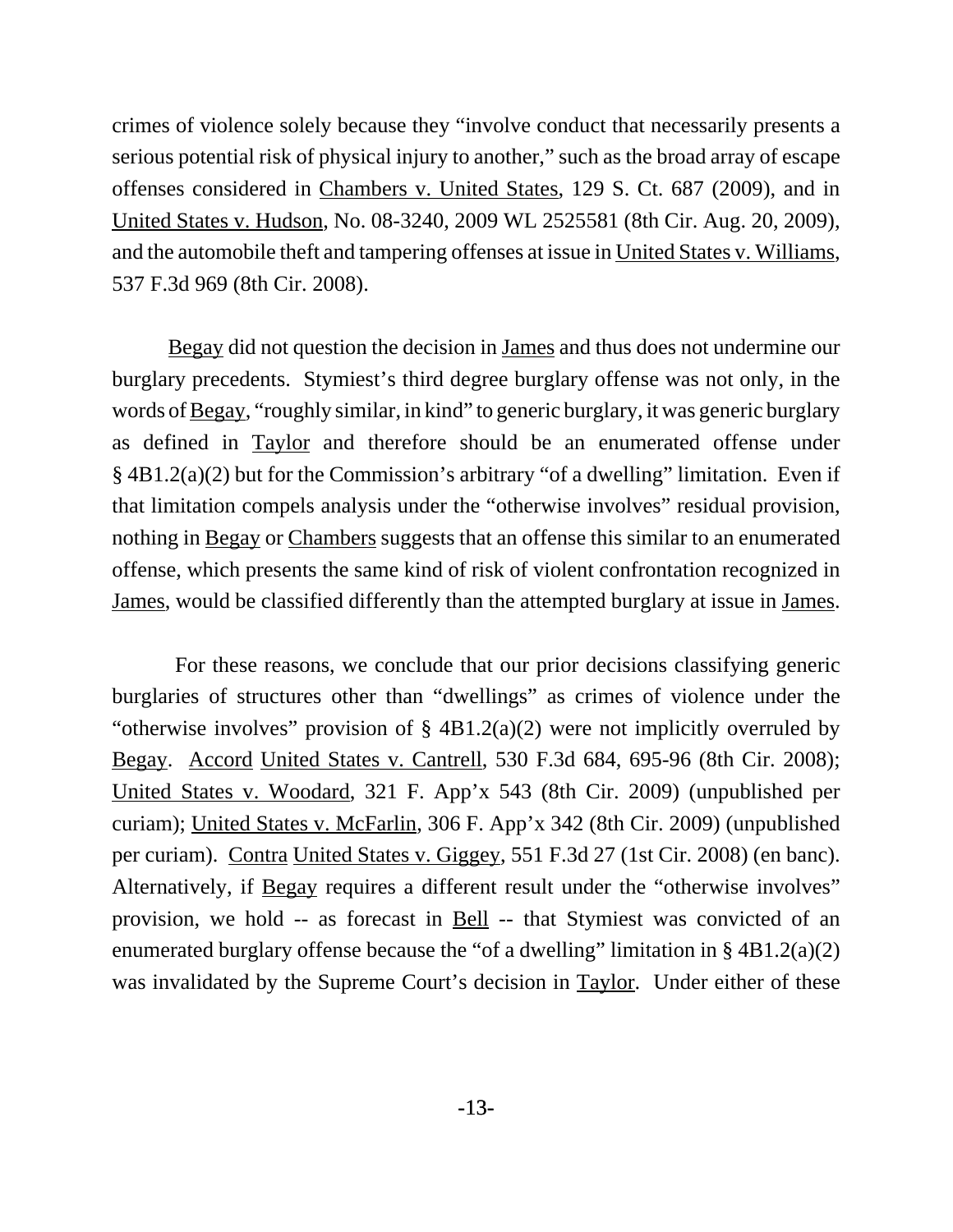crimes of violence solely because they "involve conduct that necessarily presents a serious potential risk of physical injury to another," such as the broad array of escape offenses considered in Chambers v. United States, 129 S. Ct. 687 (2009), and in United States v. Hudson, No. 08-3240, 2009 WL 2525581 (8th Cir. Aug. 20, 2009), and the automobile theft and tampering offenses at issue in United States v. Williams, 537 F.3d 969 (8th Cir. 2008).

Begay did not question the decision in James and thus does not undermine our burglary precedents. Stymiest's third degree burglary offense was not only, in the words of Begay, "roughly similar, in kind" to generic burglary, it was generic burglary as defined in Taylor and therefore should be an enumerated offense under § 4B1.2(a)(2) but for the Commission's arbitrary "of a dwelling" limitation. Even if that limitation compels analysis under the "otherwise involves" residual provision, nothing in Begay or Chambers suggests that an offense this similar to an enumerated offense, which presents the same kind of risk of violent confrontation recognized in James, would be classified differently than the attempted burglary at issue in James.

 For these reasons, we conclude that our prior decisions classifying generic burglaries of structures other than "dwellings" as crimes of violence under the "otherwise involves" provision of § 4B1.2(a)(2) were not implicitly overruled by Begay. Accord United States v. Cantrell, 530 F.3d 684, 695-96 (8th Cir. 2008); United States v. Woodard, 321 F. App'x 543 (8th Cir. 2009) (unpublished per curiam); United States v. McFarlin, 306 F. App'x 342 (8th Cir. 2009) (unpublished per curiam). Contra United States v. Giggey, 551 F.3d 27 (1st Cir. 2008) (en banc). Alternatively, if Begay requires a different result under the "otherwise involves" provision, we hold -- as forecast in Bell -- that Stymiest was convicted of an enumerated burglary offense because the "of a dwelling" limitation in  $\S$  4B1.2(a)(2) was invalidated by the Supreme Court's decision in Taylor. Under either of these